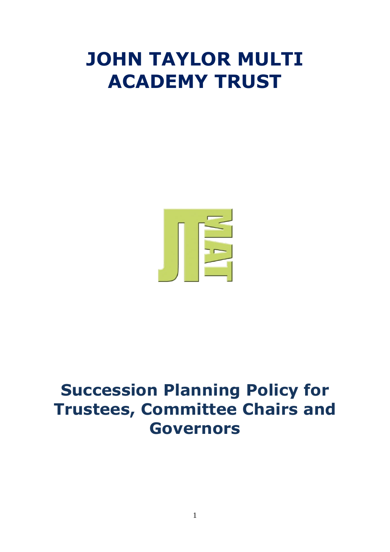# **JOHN TAYLOR MULTI ACADEMY TRUST**



# **Succession Planning Policy for Trustees, Committee Chairs and Governors**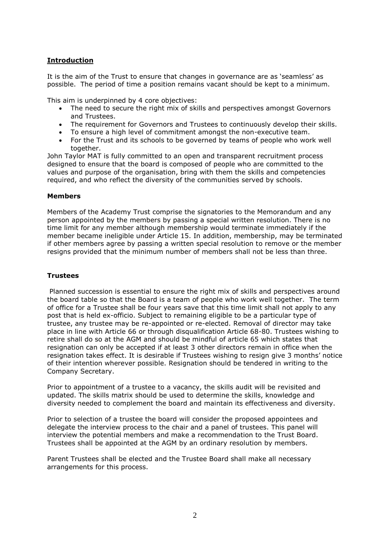## **Introduction**

It is the aim of the Trust to ensure that changes in governance are as 'seamless' as possible. The period of time a position remains vacant should be kept to a minimum.

This aim is underpinned by 4 core objectives:

- The need to secure the right mix of skills and perspectives amongst Governors and Trustees.
- The requirement for Governors and Trustees to continuously develop their skills.
- To ensure a high level of commitment amongst the non-executive team.
- For the Trust and its schools to be governed by teams of people who work well together.

John Taylor MAT is fully committed to an open and transparent recruitment process designed to ensure that the board is composed of people who are committed to the values and purpose of the organisation, bring with them the skills and competencies required, and who reflect the diversity of the communities served by schools.

#### **Members**

Members of the Academy Trust comprise the signatories to the Memorandum and any person appointed by the members by passing a special written resolution. There is no time limit for any member although membership would terminate immediately if the member became ineligible under Article 15. In addition, membership, may be terminated if other members agree by passing a written special resolution to remove or the member resigns provided that the minimum number of members shall not be less than three.

#### **Trustees**

Planned succession is essential to ensure the right mix of skills and perspectives around the board table so that the Board is a team of people who work well together. The term of office for a Trustee shall be four years save that this time limit shall not apply to any post that is held ex-officio. Subject to remaining eligible to be a particular type of trustee, any trustee may be re-appointed or re-elected. Removal of director may take place in line with Article 66 or through disqualification Article 68-80. Trustees wishing to retire shall do so at the AGM and should be mindful of article 65 which states that resignation can only be accepted if at least 3 other directors remain in office when the resignation takes effect. It is desirable if Trustees wishing to resign give 3 months' notice of their intention wherever possible. Resignation should be tendered in writing to the Company Secretary.

Prior to appointment of a trustee to a vacancy, the skills audit will be revisited and updated. The skills matrix should be used to determine the skills, knowledge and diversity needed to complement the board and maintain its effectiveness and diversity.

Prior to selection of a trustee the board will consider the proposed appointees and delegate the interview process to the chair and a panel of trustees. This panel will interview the potential members and make a recommendation to the Trust Board. Trustees shall be appointed at the AGM by an ordinary resolution by members.

Parent Trustees shall be elected and the Trustee Board shall make all necessary arrangements for this process.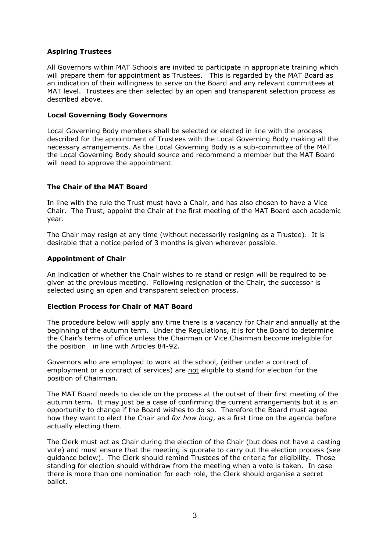### **Aspiring Trustees**

All Governors within MAT Schools are invited to participate in appropriate training which will prepare them for appointment as Trustees. This is regarded by the MAT Board as an indication of their willingness to serve on the Board and any relevant committees at MAT level. Trustees are then selected by an open and transparent selection process as described above.

#### **Local Governing Body Governors**

Local Governing Body members shall be selected or elected in line with the process described for the appointment of Trustees with the Local Governing Body making all the necessary arrangements. As the Local Governing Body is a sub-committee of the MAT the Local Governing Body should source and recommend a member but the MAT Board will need to approve the appointment.

#### **The Chair of the MAT Board**

In line with the rule the Trust must have a Chair, and has also chosen to have a Vice Chair. The Trust, appoint the Chair at the first meeting of the MAT Board each academic year.

The Chair may resign at any time (without necessarily resigning as a Trustee). It is desirable that a notice period of 3 months is given wherever possible.

#### **Appointment of Chair**

An indication of whether the Chair wishes to re stand or resign will be required to be given at the previous meeting. Following resignation of the Chair, the successor is selected using an open and transparent selection process.

#### **Election Process for Chair of MAT Board**

The procedure below will apply any time there is a vacancy for Chair and annually at the beginning of the autumn term. Under the Regulations, it is for the Board to determine the Chair's terms of office unless the Chairman or Vice Chairman become ineligible for the position in line with Articles 84-92.

Governors who are employed to work at the school, (either under a contract of employment or a contract of services) are not eligible to stand for election for the position of Chairman.

The MAT Board needs to decide on the process at the outset of their first meeting of the autumn term. It may just be a case of confirming the current arrangements but it is an opportunity to change if the Board wishes to do so. Therefore the Board must agree how they want to elect the Chair and *for how long*, as a first time on the agenda before actually electing them.

The Clerk must act as Chair during the election of the Chair (but does not have a casting vote) and must ensure that the meeting is quorate to carry out the election process (see guidance below). The Clerk should remind Trustees of the criteria for eligibility. Those standing for election should withdraw from the meeting when a vote is taken. In case there is more than one nomination for each role, the Clerk should organise a secret ballot.